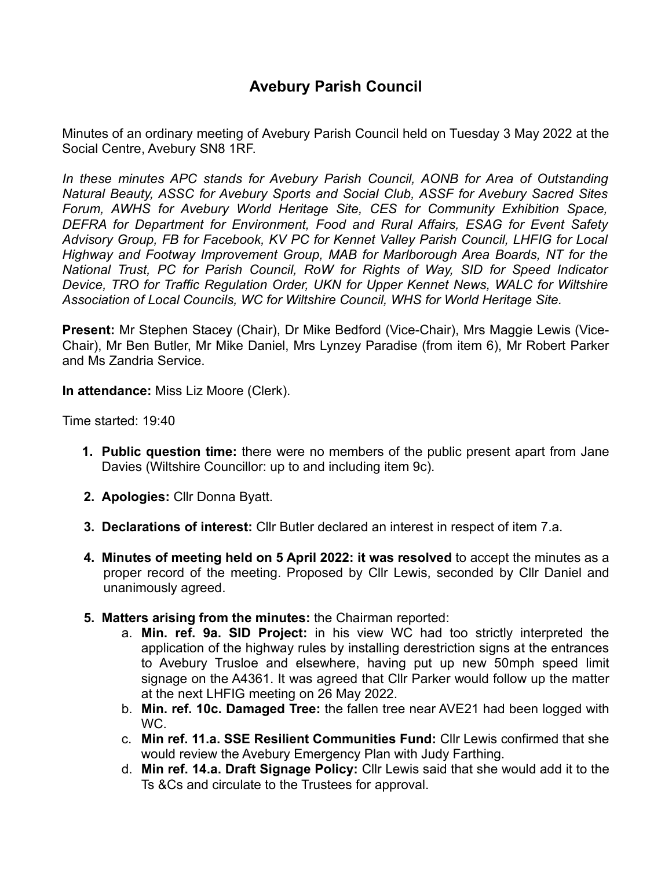Minutes of an ordinary meeting of Avebury Parish Council held on Tuesday 3 May 2022 at the Social Centre, Avebury SN8 1RF.

*In these minutes APC stands for Avebury Parish Council, AONB for Area of Outstanding Natural Beauty, ASSC for Avebury Sports and Social Club, ASSF for Avebury Sacred Sites Forum, AWHS for Avebury World Heritage Site, CES for Community Exhibition Space, DEFRA for Department for Environment, Food and Rural Affairs, ESAG for Event Safety Advisory Group, FB for Facebook, KV PC for Kennet Valley Parish Council, LHFIG for Local Highway and Footway Improvement Group, MAB for Marlborough Area Boards, NT for the National Trust, PC for Parish Council, RoW for Rights of Way, SID for Speed Indicator Device, TRO for Traffic Regulation Order, UKN for Upper Kennet News, WALC for Wiltshire Association of Local Councils, WC for Wiltshire Council, WHS for World Heritage Site.*

**Present:** Mr Stephen Stacey (Chair), Dr Mike Bedford (Vice-Chair), Mrs Maggie Lewis (Vice-Chair), Mr Ben Butler, Mr Mike Daniel, Mrs Lynzey Paradise (from item 6), Mr Robert Parker and Ms Zandria Service.

**In attendance:** Miss Liz Moore (Clerk).

Time started: 19:40

- **1. Public question time:** there were no members of the public present apart from Jane Davies (Wiltshire Councillor: up to and including item 9c).
- **2. Apologies:** Cllr Donna Byatt.
- **3. Declarations of interest:** Cllr Butler declared an interest in respect of item 7.a.
- **4. Minutes of meeting held on 5 April 2022: it was resolved** to accept the minutes as a proper record of the meeting. Proposed by Cllr Lewis, seconded by Cllr Daniel and unanimously agreed.
- **5. Matters arising from the minutes:** the Chairman reported:
	- a. **Min. ref. 9a. SID Project:** in his view WC had too strictly interpreted the application of the highway rules by installing derestriction signs at the entrances to Avebury Trusloe and elsewhere, having put up new 50mph speed limit signage on the A4361. It was agreed that Cllr Parker would follow up the matter at the next LHFIG meeting on 26 May 2022.
	- b. **Min. ref. 10c. Damaged Tree:** the fallen tree near AVE21 had been logged with WC.
	- c. **Min ref. 11.a. SSE Resilient Communities Fund:** Cllr Lewis confirmed that she would review the Avebury Emergency Plan with Judy Farthing.
	- d. **Min ref. 14.a. Draft Signage Policy:** Cllr Lewis said that she would add it to the Ts &Cs and circulate to the Trustees for approval.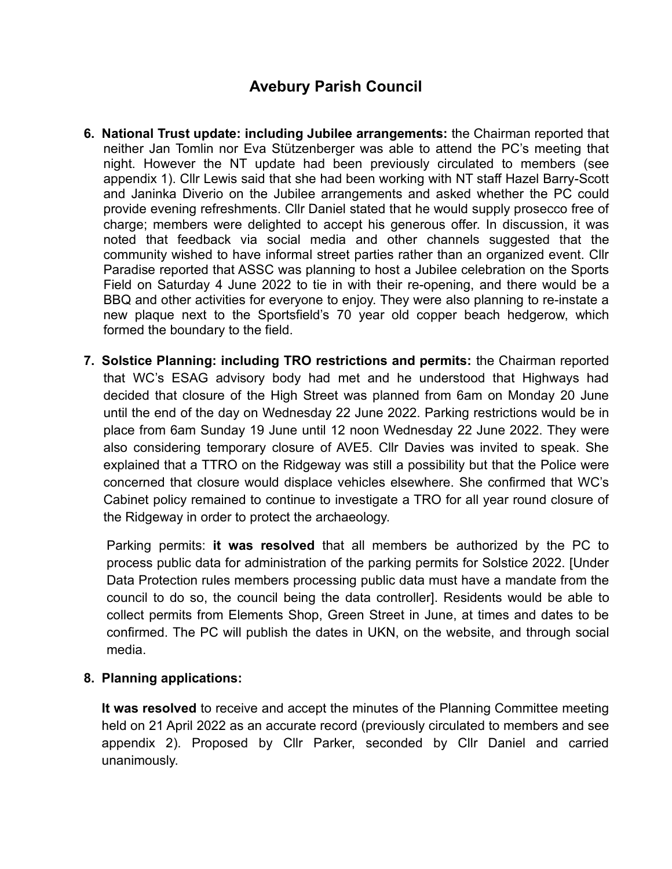- **6. National Trust update: including Jubilee arrangements:** the Chairman reported that neither Jan Tomlin nor Eva Stützenberger was able to attend the PC's meeting that night. However the NT update had been previously circulated to members (see appendix 1). Cllr Lewis said that she had been working with NT staff Hazel Barry-Scott and Janinka Diverio on the Jubilee arrangements and asked whether the PC could provide evening refreshments. Cllr Daniel stated that he would supply prosecco free of charge; members were delighted to accept his generous offer. In discussion, it was noted that feedback via social media and other channels suggested that the community wished to have informal street parties rather than an organized event. Cllr Paradise reported that ASSC was planning to host a Jubilee celebration on the Sports Field on Saturday 4 June 2022 to tie in with their re-opening, and there would be a BBQ and other activities for everyone to enjoy. They were also planning to re-instate a new plaque next to the Sportsfield's 70 year old copper beach hedgerow, which formed the boundary to the field.
- **7. Solstice Planning: including TRO restrictions and permits:** the Chairman reported that WC's ESAG advisory body had met and he understood that Highways had decided that closure of the High Street was planned from 6am on Monday 20 June until the end of the day on Wednesday 22 June 2022. Parking restrictions would be in place from 6am Sunday 19 June until 12 noon Wednesday 22 June 2022. They were also considering temporary closure of AVE5. Cllr Davies was invited to speak. She explained that a TTRO on the Ridgeway was still a possibility but that the Police were concerned that closure would displace vehicles elsewhere. She confirmed that WC's Cabinet policy remained to continue to investigate a TRO for all year round closure of the Ridgeway in order to protect the archaeology.

Parking permits: **it was resolved** that all members be authorized by the PC to process public data for administration of the parking permits for Solstice 2022. [Under Data Protection rules members processing public data must have a mandate from the council to do so, the council being the data controller]. Residents would be able to collect permits from Elements Shop, Green Street in June, at times and dates to be confirmed. The PC will publish the dates in UKN, on the website, and through social media.

## **8. Planning applications:**

**It was resolved** to receive and accept the minutes of the Planning Committee meeting held on 21 April 2022 as an accurate record (previously circulated to members and see appendix 2). Proposed by Cllr Parker, seconded by Cllr Daniel and carried unanimously.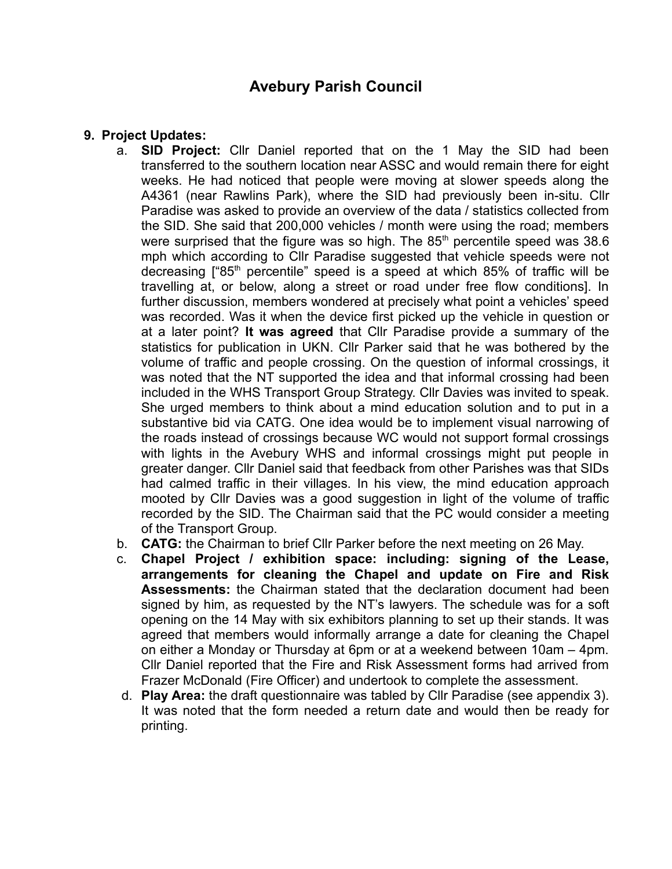## **9. Project Updates:**

- a. **SID Project:** Cllr Daniel reported that on the 1 May the SID had been transferred to the southern location near ASSC and would remain there for eight weeks. He had noticed that people were moving at slower speeds along the A4361 (near Rawlins Park), where the SID had previously been in-situ. Cllr Paradise was asked to provide an overview of the data / statistics collected from the SID. She said that 200,000 vehicles / month were using the road; members were surprised that the figure was so high. The  $85<sup>th</sup>$  percentile speed was 38.6 mph which according to Cllr Paradise suggested that vehicle speeds were not decreasing  $\int^{\pi} 85^{th}$  percentile" speed is a speed at which 85% of traffic will be travelling at, or below, along a street or road under free flow conditions]. In further discussion, members wondered at precisely what point a vehicles' speed was recorded. Was it when the device first picked up the vehicle in question or at a later point? **It was agreed** that Cllr Paradise provide a summary of the statistics for publication in UKN. Cllr Parker said that he was bothered by the volume of traffic and people crossing. On the question of informal crossings, it was noted that the NT supported the idea and that informal crossing had been included in the WHS Transport Group Strategy. Cllr Davies was invited to speak. She urged members to think about a mind education solution and to put in a substantive bid via CATG. One idea would be to implement visual narrowing of the roads instead of crossings because WC would not support formal crossings with lights in the Avebury WHS and informal crossings might put people in greater danger. Cllr Daniel said that feedback from other Parishes was that SIDs had calmed traffic in their villages. In his view, the mind education approach mooted by Cllr Davies was a good suggestion in light of the volume of traffic recorded by the SID. The Chairman said that the PC would consider a meeting of the Transport Group.
- b. **CATG:** the Chairman to brief Cllr Parker before the next meeting on 26 May.
- c. **Chapel Project / exhibition space: including: signing of the Lease, arrangements for cleaning the Chapel and update on Fire and Risk Assessments:** the Chairman stated that the declaration document had been signed by him, as requested by the NT's lawyers. The schedule was for a soft opening on the 14 May with six exhibitors planning to set up their stands. It was agreed that members would informally arrange a date for cleaning the Chapel on either a Monday or Thursday at 6pm or at a weekend between 10am – 4pm. Cllr Daniel reported that the Fire and Risk Assessment forms had arrived from Frazer McDonald (Fire Officer) and undertook to complete the assessment.
- d. **Play Area:** the draft questionnaire was tabled by Cllr Paradise (see appendix 3). It was noted that the form needed a return date and would then be ready for printing.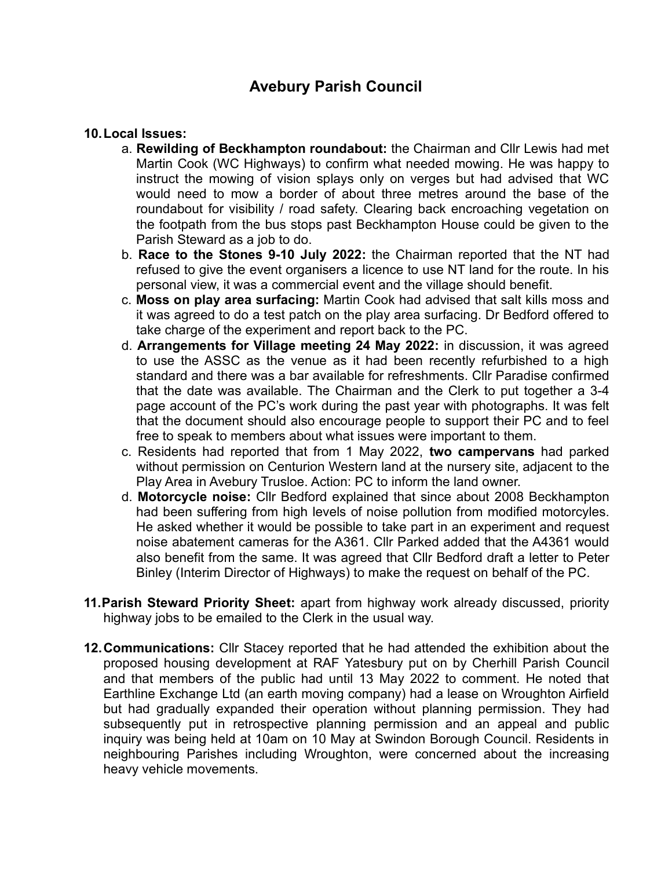#### **10.Local Issues:**

- a. **Rewilding of Beckhampton roundabout:** the Chairman and Cllr Lewis had met Martin Cook (WC Highways) to confirm what needed mowing. He was happy to instruct the mowing of vision splays only on verges but had advised that WC would need to mow a border of about three metres around the base of the roundabout for visibility / road safety. Clearing back encroaching vegetation on the footpath from the bus stops past Beckhampton House could be given to the Parish Steward as a job to do.
- b. **Race to the Stones 9-10 July 2022:** the Chairman reported that the NT had refused to give the event organisers a licence to use NT land for the route. In his personal view, it was a commercial event and the village should benefit.
- c. **Moss on play area surfacing:** Martin Cook had advised that salt kills moss and it was agreed to do a test patch on the play area surfacing. Dr Bedford offered to take charge of the experiment and report back to the PC.
- d. **Arrangements for Village meeting 24 May 2022:** in discussion, it was agreed to use the ASSC as the venue as it had been recently refurbished to a high standard and there was a bar available for refreshments. Cllr Paradise confirmed that the date was available. The Chairman and the Clerk to put together a 3-4 page account of the PC's work during the past year with photographs. It was felt that the document should also encourage people to support their PC and to feel free to speak to members about what issues were important to them.
- c. Residents had reported that from 1 May 2022, **two campervans** had parked without permission on Centurion Western land at the nursery site, adjacent to the Play Area in Avebury Trusloe. Action: PC to inform the land owner.
- d. **Motorcycle noise:** Cllr Bedford explained that since about 2008 Beckhampton had been suffering from high levels of noise pollution from modified motorcyles. He asked whether it would be possible to take part in an experiment and request noise abatement cameras for the A361. Cllr Parked added that the A4361 would also benefit from the same. It was agreed that Cllr Bedford draft a letter to Peter Binley (Interim Director of Highways) to make the request on behalf of the PC.
- **11.Parish Steward Priority Sheet:** apart from highway work already discussed, priority highway jobs to be emailed to the Clerk in the usual way.
- **12.Communications:** Cllr Stacey reported that he had attended the exhibition about the proposed housing development at RAF Yatesbury put on by Cherhill Parish Council and that members of the public had until 13 May 2022 to comment. He noted that Earthline Exchange Ltd (an earth moving company) had a lease on Wroughton Airfield but had gradually expanded their operation without planning permission. They had subsequently put in retrospective planning permission and an appeal and public inquiry was being held at 10am on 10 May at Swindon Borough Council. Residents in neighbouring Parishes including Wroughton, were concerned about the increasing heavy vehicle movements.